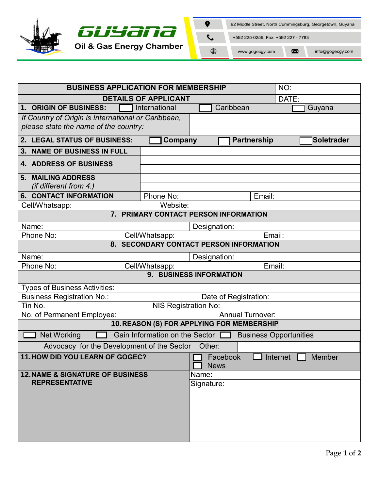

| <b>BUSINESS APPLICATION FOR MEMBERSHIP</b><br>NO:                                            |              |                                |                    |  |                               |  |
|----------------------------------------------------------------------------------------------|--------------|--------------------------------|--------------------|--|-------------------------------|--|
| <b>DETAILS OF APPLICANT</b>                                                                  |              |                                | DATE:              |  |                               |  |
| 1. ORIGIN OF BUSINESS:<br>International                                                      |              |                                | Caribbean          |  | Guyana                        |  |
| If Country of Origin is International or Caribbean,<br>please state the name of the country: |              |                                |                    |  |                               |  |
| 2. LEGAL STATUS OF BUSINESS:                                                                 | Company      |                                | <b>Partnership</b> |  | Soletrader                    |  |
| 3. NAME OF BUSINESS IN FULL                                                                  |              |                                |                    |  |                               |  |
| <b>4. ADDRESS OF BUSINESS</b>                                                                |              |                                |                    |  |                               |  |
| 5. MAILING ADDRESS<br>(if different from 4.)                                                 |              |                                |                    |  |                               |  |
| <b>6. CONTACT INFORMATION</b>                                                                | Phone No:    |                                | Email:             |  |                               |  |
| Cell/Whatsapp:                                                                               | Website:     |                                |                    |  |                               |  |
| 7. PRIMARY CONTACT PERSON INFORMATION                                                        |              |                                |                    |  |                               |  |
| Name:                                                                                        | Designation: |                                |                    |  |                               |  |
| Email:<br>Phone No:<br>Cell/Whatsapp:                                                        |              |                                |                    |  |                               |  |
| 8. SECONDARY CONTACT PERSON INFORMATION                                                      |              |                                |                    |  |                               |  |
| Name:                                                                                        | Designation: |                                |                    |  |                               |  |
| Email:<br>Phone No:<br>Cell/Whatsapp:                                                        |              |                                |                    |  |                               |  |
| 9. BUSINESS INFORMATION                                                                      |              |                                |                    |  |                               |  |
| <b>Types of Business Activities:</b>                                                         |              |                                |                    |  |                               |  |
| <b>Business Registration No.:</b><br>Date of Registration:                                   |              |                                |                    |  |                               |  |
| Tin No.<br><b>NIS Registration No:</b>                                                       |              |                                |                    |  |                               |  |
| <b>Annual Turnover:</b><br>No. of Permanent Employee:                                        |              |                                |                    |  |                               |  |
| 10. REASON (S) FOR APPLYING FOR MEMBERSHIP                                                   |              |                                |                    |  |                               |  |
| Gain Information on the Sector $\Box$<br><b>Net Working</b><br><b>Business Opportunities</b> |              |                                |                    |  |                               |  |
| Advocacy for the Development of the Sector Other:                                            |              |                                |                    |  |                               |  |
| 11. HOW DID YOU LEARN OF GOGEC?                                                              |              | $\Box$ Facebook<br><b>News</b> |                    |  | $\Box$ Internet $\Box$ Member |  |
| <b>12. NAME &amp; SIGNATURE OF BUSINESS</b>                                                  |              | Name:                          |                    |  |                               |  |
| <b>REPRESENTATIVE</b>                                                                        |              | Signature:                     |                    |  |                               |  |
|                                                                                              |              |                                |                    |  |                               |  |
|                                                                                              |              |                                |                    |  |                               |  |
|                                                                                              |              |                                |                    |  |                               |  |
|                                                                                              |              |                                |                    |  |                               |  |
|                                                                                              |              |                                |                    |  |                               |  |
|                                                                                              |              |                                |                    |  |                               |  |